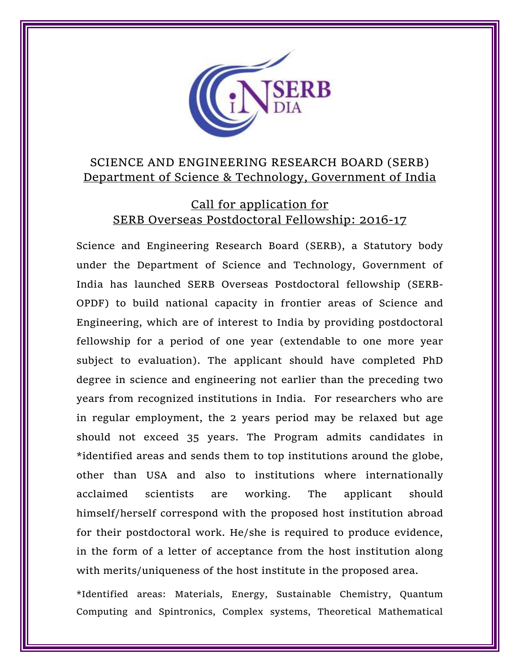

# SCIENCE AND ENGINEERING RESEARCH BOARD (SERB) Department of Science & Technology, Government of India

## Call for application for SERB Overseas Postdoctoral Fellowship: 2016-17

Science and Engineering Research Board (SERB), a Statutory body under the Department of Science and Technology, Government of India has launched SERB Overseas Postdoctoral fellowship (SERB-OPDF) to build national capacity in frontier areas of Science and Engineering, which are of interest to India by providing postdoctoral fellowship for a period of one year (extendable to one more year subject to evaluation). The applicant should have completed PhD degree in science and engineering not earlier than the preceding two years from recognized institutions in India. For researchers who are in regular employment, the 2 years period may be relaxed but age should not exceed 35 years. The Program admits candidates in \*identified areas and sends them to top institutions around the globe, other than USA and also to institutions where internationally acclaimed scientists are working. The applicant should himself/herself correspond with the proposed host institution abroad for their postdoctoral work. He/she is required to produce evidence, in the form of a letter of acceptance from the host institution along with merits/uniqueness of the host institute in the proposed area.

\*Identified areas: Materials, Energy, Sustainable Chemistry, Quantum Computing and Spintronics, Complex systems, Theoretical Mathematical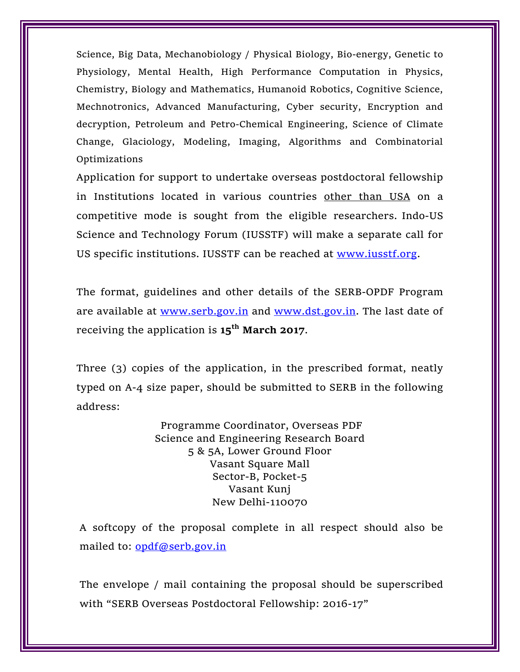Science, Big Data, Mechanobiology / Physical Biology, Bio-energy, Genetic to Physiology, Mental Health, High Performance Computation in Physics, Chemistry, Biology and Mathematics, Humanoid Robotics, Cognitive Science, Mechnotronics, Advanced Manufacturing, Cyber security, Encryption and decryption, Petroleum and Petro-Chemical Engineering, Science of Climate Change, Glaciology, Modeling, Imaging, Algorithms and Combinatorial Optimizations

Application for support to undertake overseas postdoctoral fellowship in Institutions located in various countries other than USA on a competitive mode is sought from the eligible researchers. Indo-US Science and Technology Forum (IUSSTF) will make a separate call for US specific institutions. IUSSTF can be reached at [www.iusstf.org.](http://www.iusstf.org/)

The format, guidelines and other details of the SERB-OPDF Program are available at [www.serb.gov.in](http://www.serb.gov.in/) and [www.dst.gov.in.](http://www.dst.gov.in/) The last date of receiving the application is **15th March 2017**.

Three (3) copies of the application, in the prescribed format, neatly typed on A-4 size paper, should be submitted to SERB in the following address:

> Programme Coordinator, Overseas PDF Science and Engineering Research Board 5 & 5A, Lower Ground Floor Vasant Square Mall Sector-B, Pocket-5 Vasant Kunj New Delhi-110070

A softcopy of the proposal complete in all respect should also be mailed to: [opdf@serb.gov.in](mailto:opdf@serb.gov.in)

The envelope / mail containing the proposal should be superscribed with "SERB Overseas Postdoctoral Fellowship: 2016-17"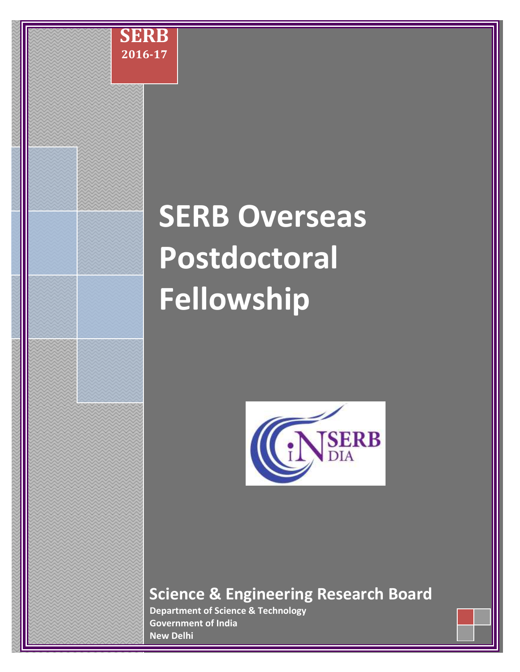

# **SERB Overseas Postdoctoral Fellowship**



# **Science & Engineering Research Board**

**Department of Science & Technology Government of India New Delhi**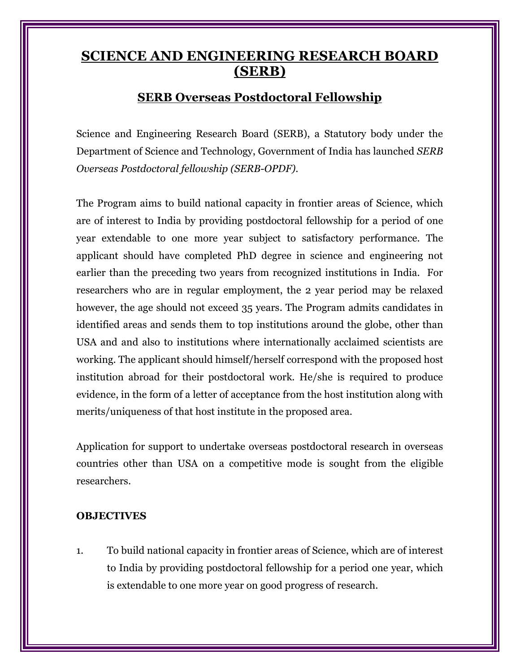# **SCIENCE AND ENGINEERING RESEARCH BOARD (SERB)**

## **SERB Overseas Postdoctoral Fellowship**

Science and Engineering Research Board (SERB), a Statutory body under the Department of Science and Technology, Government of India has launched *SERB Overseas Postdoctoral fellowship (SERB-OPDF)*.

The Program aims to build national capacity in frontier areas of Science, which are of interest to India by providing postdoctoral fellowship for a period of one year extendable to one more year subject to satisfactory performance. The applicant should have completed PhD degree in science and engineering not earlier than the preceding two years from recognized institutions in India. For researchers who are in regular employment, the 2 year period may be relaxed however, the age should not exceed 35 years. The Program admits candidates in identified areas and sends them to top institutions around the globe, other than USA and and also to institutions where internationally acclaimed scientists are working. The applicant should himself/herself correspond with the proposed host institution abroad for their postdoctoral work. He/she is required to produce evidence, in the form of a letter of acceptance from the host institution along with merits/uniqueness of that host institute in the proposed area.

Application for support to undertake overseas postdoctoral research in overseas countries other than USA on a competitive mode is sought from the eligible researchers.

#### **OBJECTIVES**

1. To build national capacity in frontier areas of Science, which are of interest to India by providing postdoctoral fellowship for a period one year, which is extendable to one more year on good progress of research.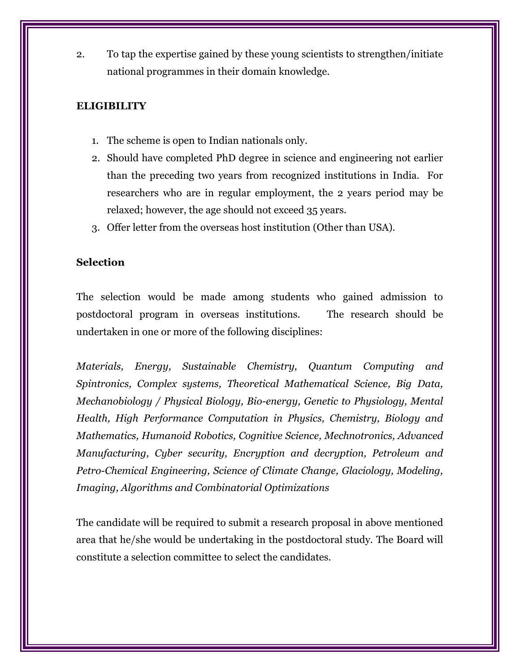2. To tap the expertise gained by these young scientists to strengthen/initiate national programmes in their domain knowledge.

#### **ELIGIBILITY**

- 1. The scheme is open to Indian nationals only.
- 2. Should have completed PhD degree in science and engineering not earlier than the preceding two years from recognized institutions in India. For researchers who are in regular employment, the 2 years period may be relaxed; however, the age should not exceed 35 years.
- 3. Offer letter from the overseas host institution (Other than USA).

#### **Selection**

The selection would be made among students who gained admission to postdoctoral program in overseas institutions. The research should be undertaken in one or more of the following disciplines:

*Materials, Energy, Sustainable Chemistry, Quantum Computing and Spintronics, Complex systems, Theoretical Mathematical Science, Big Data, Mechanobiology / Physical Biology, Bio-energy, Genetic to Physiology, Mental Health, High Performance Computation in Physics, Chemistry, Biology and Mathematics, Humanoid Robotics, Cognitive Science, Mechnotronics, Advanced Manufacturing, Cyber security, Encryption and decryption, Petroleum and Petro-Chemical Engineering, Science of Climate Change, Glaciology, Modeling, Imaging, Algorithms and Combinatorial Optimizations*

The candidate will be required to submit a research proposal in above mentioned area that he/she would be undertaking in the postdoctoral study. The Board will constitute a selection committee to select the candidates.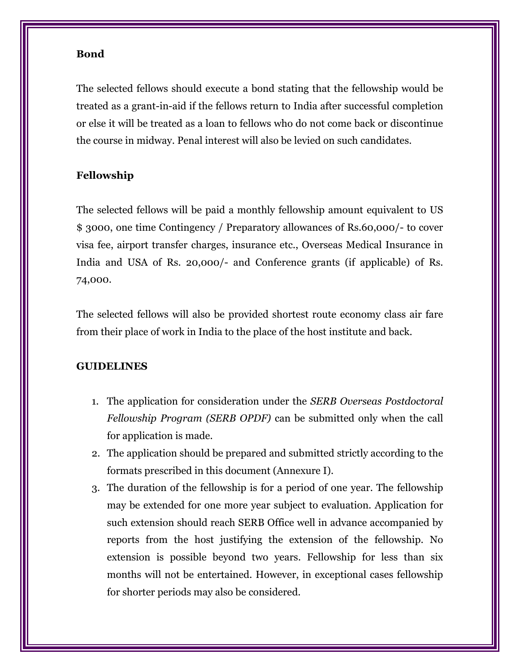#### **Bond**

The selected fellows should execute a bond stating that the fellowship would be treated as a grant-in-aid if the fellows return to India after successful completion or else it will be treated as a loan to fellows who do not come back or discontinue the course in midway. Penal interest will also be levied on such candidates.

#### **Fellowship**

The selected fellows will be paid a monthly fellowship amount equivalent to US \$ 3000, one time Contingency / Preparatory allowances of Rs.60,000/- to cover visa fee, airport transfer charges, insurance etc., Overseas Medical Insurance in India and USA of Rs. 20,000/- and Conference grants (if applicable) of Rs. 74,000.

The selected fellows will also be provided shortest route economy class air fare from their place of work in India to the place of the host institute and back.

#### **GUIDELINES**

- 1. The application for consideration under the *SERB Overseas Postdoctoral Fellowship Program (SERB OPDF)* can be submitted only when the call for application is made.
- 2. The application should be prepared and submitted strictly according to the formats prescribed in this document (Annexure I).
- 3. The duration of the fellowship is for a period of one year. The fellowship may be extended for one more year subject to evaluation. Application for such extension should reach SERB Office well in advance accompanied by reports from the host justifying the extension of the fellowship. No extension is possible beyond two years. Fellowship for less than six months will not be entertained. However, in exceptional cases fellowship for shorter periods may also be considered.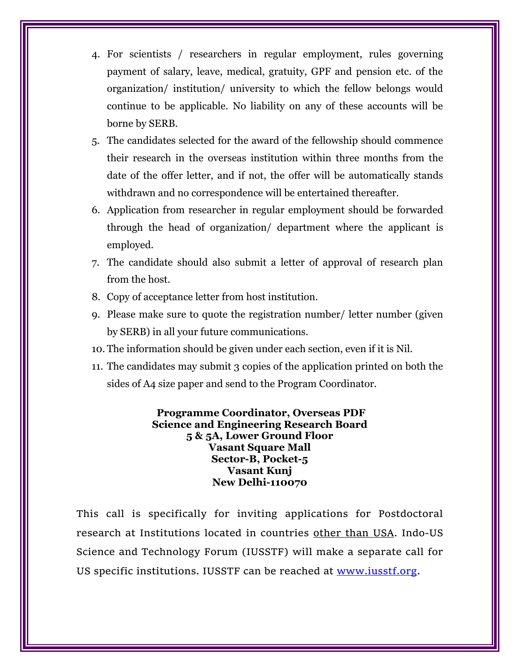- 4. For scientists / researchers in regular employment, rules governing payment of salary, leave, medical, gratuity, GPF and pension etc. of the organization/ institution/ university to which the fellow belongs would continue to be applicable. No liability on any of these accounts will be borne by SERB.
- 5. The candidates selected for the award of the fellowship should commence their research in the overseas institution within three months from the date of the offer letter, and if not, the offer will be automatically stands withdrawn and no correspondence will be entertained thereafter.
- 6. Application from researcher in regular employment should be forwarded through the head of organization/ department where the applicant is employed.
- 7. The candidate should also submit a letter of approval of research plan from the host.
- 8. Copy of acceptance letter from host institution.
- 9. Please make sure to quote the registration number/ letter number (given by SERB) in all your future communications.
- 10. The information should be given under each section, even if it is Nil.
- 11. The candidates may submit 3 copies of the application printed on both the sides of A4 size paper and send to the Program Coordinator.

**Programme Coordinator, Overseas PDF Science and Engineering Research Board 5 & 5A, Lower Ground Floor Vasant Square Mall Sector-B, Pocket-5 Vasant Kunj New Delhi-110070**

This call is specifically for inviting applications for Postdoctoral research at Institutions located in countries other than USA. Indo-US Science and Technology Forum (IUSSTF) will make a separate call for US specific institutions. IUSSTF can be reached at [www.iusstf.org.](http://www.iusstf.org/)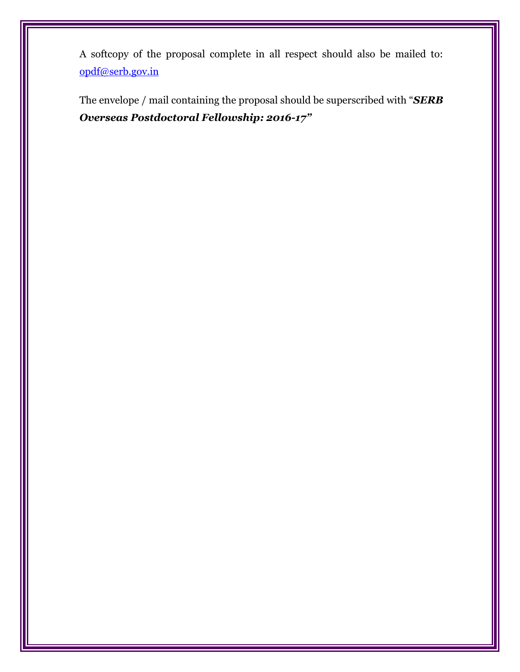A softcopy of the proposal complete in all respect should also be mailed to: [opdf@serb.gov.in](mailto:opdf@serb.gov.in)

The envelope / mail containing the proposal should be superscribed with "*SERB Overseas Postdoctoral Fellowship: 2016-17"*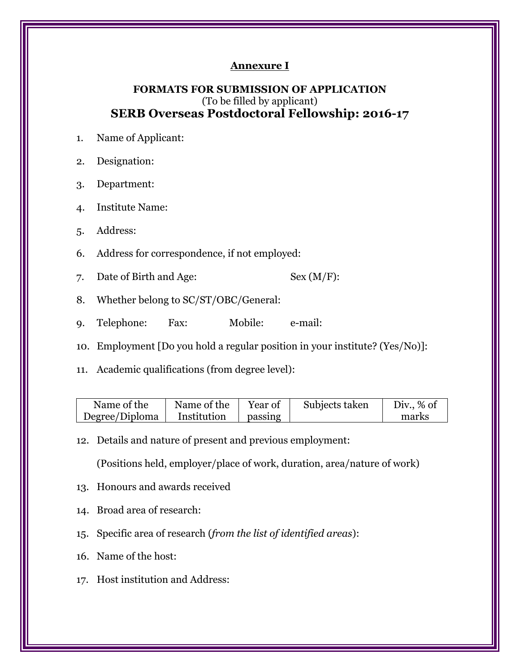#### **Annexure I**

#### **FORMATS FOR SUBMISSION OF APPLICATION** (To be filled by applicant) **SERB Overseas Postdoctoral Fellowship: 2016-17**

- 1. Name of Applicant:
- 2. Designation:
- 3. Department:
- 4. Institute Name:
- 5. Address:
- 6. Address for correspondence, if not employed:
- 7. Date of Birth and Age: Sex (M/F):
- 8. Whether belong to SC/ST/OBC/General:
- 9. Telephone: Fax: Mobile: e-mail:
- 10. Employment [Do you hold a regular position in your institute? (Yes/No)]:
- 11. Academic qualifications (from degree level):

| Name of the    | Name of the | Year of | Subjects taken | Div., $\%$ of |
|----------------|-------------|---------|----------------|---------------|
| Degree/Diploma | Institution | passing |                | marks         |

12. Details and nature of present and previous employment:

(Positions held, employer/place of work, duration, area/nature of work)

- 13. Honours and awards received
- 14. Broad area of research:
- 15. Specific area of research (*from the list of identified areas*):
- 16. Name of the host:
- 17. Host institution and Address: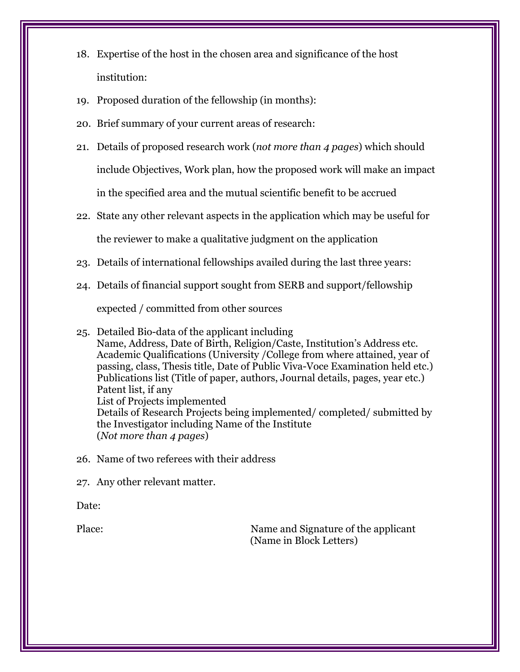- 18. Expertise of the host in the chosen area and significance of the host institution:
- 19. Proposed duration of the fellowship (in months):
- 20. Brief summary of your current areas of research:
- 21. Details of proposed research work (*not more than 4 pages*) which should include Objectives, Work plan, how the proposed work will make an impact in the specified area and the mutual scientific benefit to be accrued
- 22. State any other relevant aspects in the application which may be useful for the reviewer to make a qualitative judgment on the application
- 23. Details of international fellowships availed during the last three years:
- 24. Details of financial support sought from SERB and support/fellowship

expected / committed from other sources

- 25. Detailed Bio-data of the applicant including Name, Address, Date of Birth, Religion/Caste, Institution's Address etc. Academic Qualifications (University /College from where attained, year of passing, class, Thesis title, Date of Public Viva-Voce Examination held etc.) Publications list (Title of paper, authors, Journal details, pages, year etc.) Patent list, if any List of Projects implemented Details of Research Projects being implemented/ completed/ submitted by the Investigator including Name of the Institute (*Not more than 4 pages*)
- 26. Name of two referees with their address

27. Any other relevant matter.

Date:

Place: Name and Signature of the applicant (Name in Block Letters)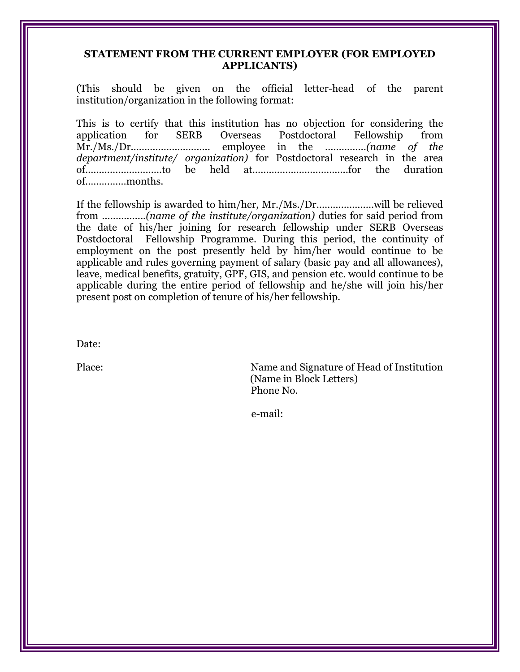#### **STATEMENT FROM THE CURRENT EMPLOYER (FOR EMPLOYED APPLICANTS)**

(This should be given on the official letter-head of the parent institution/organization in the following format:

This is to certify that this institution has no objection for considering the application for SERB Overseas Postdoctoral Fellowship from Mr./Ms./Dr……………………….. employee in the ……………*(name of the department/institute/ organization)* for Postdoctoral research in the area of……….………………to be held at……………………………..for the duration of……………months.

If the fellowship is awarded to him/her, Mr./Ms./Dr…………………will be relieved from …………....*(name of the institute/organization)* duties for said period from the date of his/her joining for research fellowship under SERB Overseas Postdoctoral Fellowship Programme. During this period, the continuity of employment on the post presently held by him/her would continue to be applicable and rules governing payment of salary (basic pay and all allowances), leave, medical benefits, gratuity, GPF, GIS, and pension etc. would continue to be applicable during the entire period of fellowship and he/she will join his/her present post on completion of tenure of his/her fellowship.

Date:

Place: Name and Signature of Head of Institution (Name in Block Letters) Phone No.

e-mail: